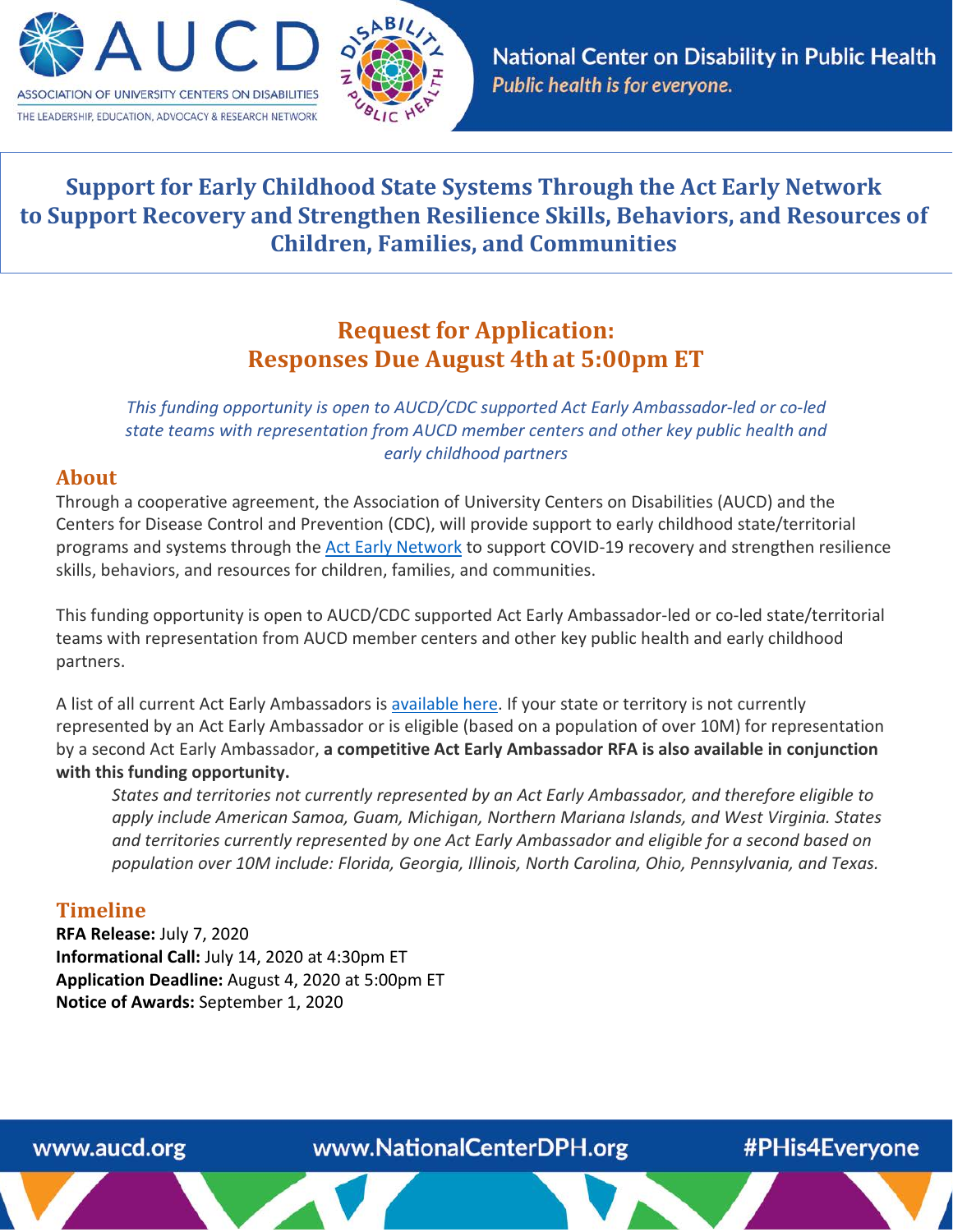



# **Support for Early Childhood State Systems Through the Act Early Network to Support Recovery and Strengthen Resilience Skills, Behaviors, and Resources of Children, Families, and Communities**

# **Request for Application: Responses Due August 4that 5:00pm ET**

*This funding opportunity is open to AUCD/CDC supported Act Early Ambassador-led or co-led state teams with representation from AUCD member centers and other key public health and early childhood partners*

#### **About**

Through a cooperative agreement, the Association of University Centers on Disabilities (AUCD) and the Centers for Disease Control and Prevention (CDC), will provide support to early childhood state/territorial programs and systems through the [Act Early Network](https://www.cdc.gov/ncbddd/actearly/about-initiative.html) to support COVID-19 recovery and strengthen resilience skills, behaviors, and resources for children, families, and communities.

This funding opportunity is open to AUCD/CDC supported Act Early Ambassador-led or co-led state/territorial teams with representation from AUCD member centers and other key public health and early childhood partners.

A list of all current Act Early Ambassadors i[s available here.](https://www.cdc.gov/ncbddd/actearly/ambassadors-list.html) If your state or territory is not currently represented by an Act Early Ambassador or is eligible (based on a population of over 10M) for representation by a second Act Early Ambassador, **a competitive Act Early Ambassador RFA is also available in conjunction with this funding opportunity.** 

*States and territories not currently represented by an Act Early Ambassador, and therefore eligible to apply include American Samoa, Guam, Michigan, Northern Mariana Islands, and West Virginia. States and territories currently represented by one Act Early Ambassador and eligible for a second based on population over 10M include: Florida, Georgia, Illinois, North Carolina, Ohio, Pennsylvania, and Texas.*

### **Timeline**

**RFA Release:** July 7, 2020 **Informational Call:** July 14, 2020 at 4:30pm ET **Application Deadline:** August 4, 2020 at 5:00pm ET **Notice of Awards:** September 1, 2020

www.aucd.org

www.NationalCenterDPH.org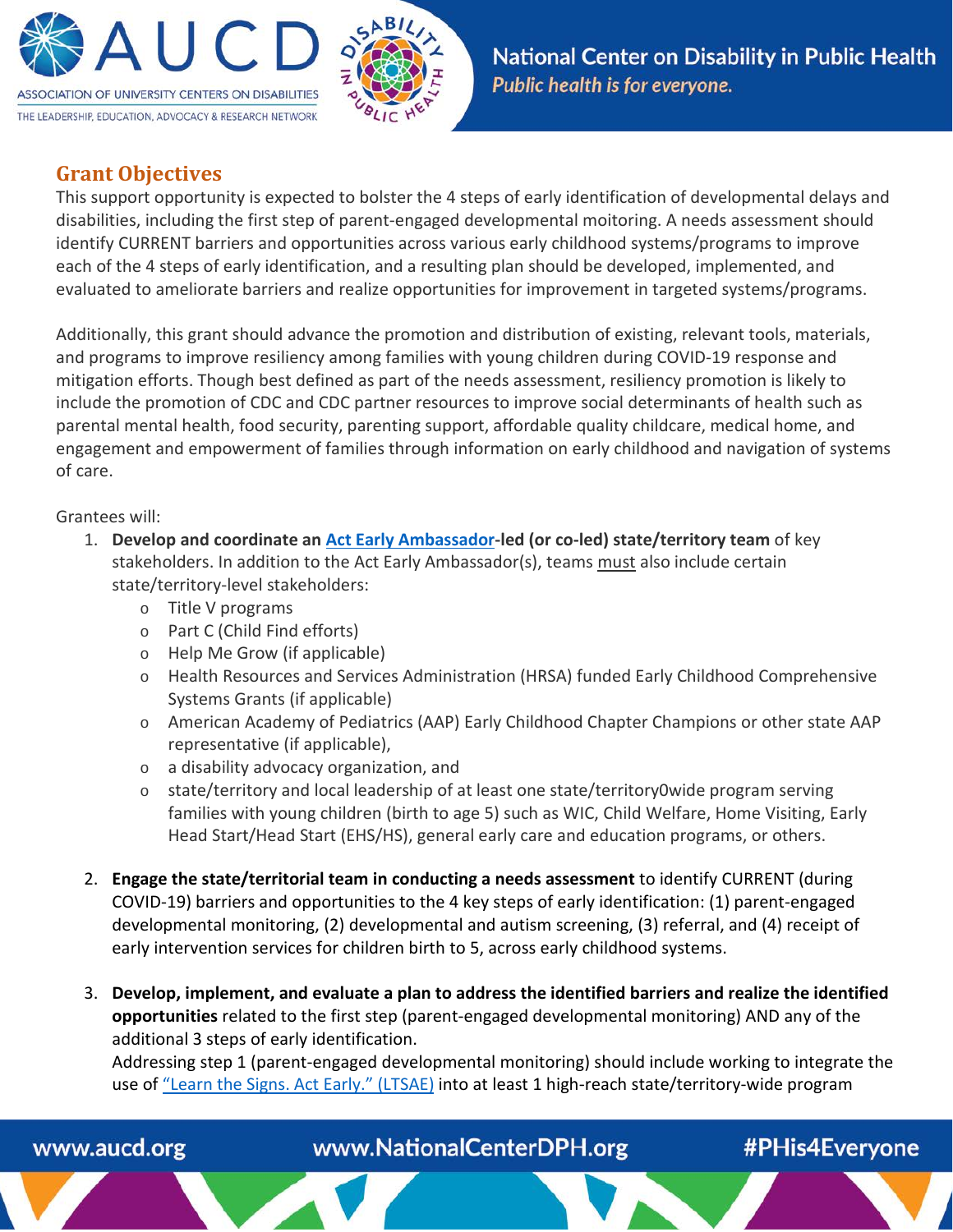



## **Grant Objectives**

This support opportunity is expected to bolster the 4 steps of early identification of developmental delays and disabilities, including the first step of parent-engaged developmental moitoring. A needs assessment should identify CURRENT barriers and opportunities across various early childhood systems/programs to improve each of the 4 steps of early identification, and a resulting plan should be developed, implemented, and evaluated to ameliorate barriers and realize opportunities for improvement in targeted systems/programs.

Additionally, this grant should advance the promotion and distribution of existing, relevant tools, materials, and programs to improve resiliency among families with young children during COVID-19 response and mitigation efforts. Though best defined as part of the needs assessment, resiliency promotion is likely to include the promotion of CDC and CDC partner resources to improve social determinants of health such as parental mental health, food security, parenting support, affordable quality childcare, medical home, and engagement and empowerment of families through information on early childhood and navigation of systems of care.

#### Grantees will:

- 1. **Develop and coordinate an [Act Early Ambassador-](https://www.cdc.gov/ncbddd/actearly/ambassadors-list.html)led (or co-led) state/territory team** of key stakeholders. In addition to the Act Early Ambassador(s), teams must also include certain state/territory-level stakeholders:
	- o Title V programs
	- o Part C (Child Find efforts)
	- o Help Me Grow (if applicable)
	- o Health Resources and Services Administration (HRSA) funded Early Childhood Comprehensive Systems Grants (if applicable)
	- o American Academy of Pediatrics (AAP) Early Childhood Chapter Champions or other state AAP representative (if applicable),
	- o a disability advocacy organization, and
	- o state/territory and local leadership of at least one state/territory0wide program serving families with young children (birth to age 5) such as WIC, Child Welfare, Home Visiting, Early Head Start/Head Start (EHS/HS), general early care and education programs, or others.
- 2. **Engage the state/territorial team in conducting a needs assessment** to identify CURRENT (during COVID-19) barriers and opportunities to the 4 key steps of early identification: (1) parent-engaged developmental monitoring, (2) developmental and autism screening, (3) referral, and (4) receipt of early intervention services for children birth to 5, across early childhood systems.
- 3. **Develop, implement, and evaluate a plan to address the identified barriers and realize the identified opportunities** related to the first step (parent-engaged developmental monitoring) AND any of the additional 3 steps of early identification.

Addressing step 1 (parent-engaged developmental monitoring) should include working to integrate the use of ["Learn the Signs. Act Early." \(LTSAE\)](http://www.cdc.gov/actearly) into at least 1 high-reach state/territory-wide program



www.NationalCenterDPH.org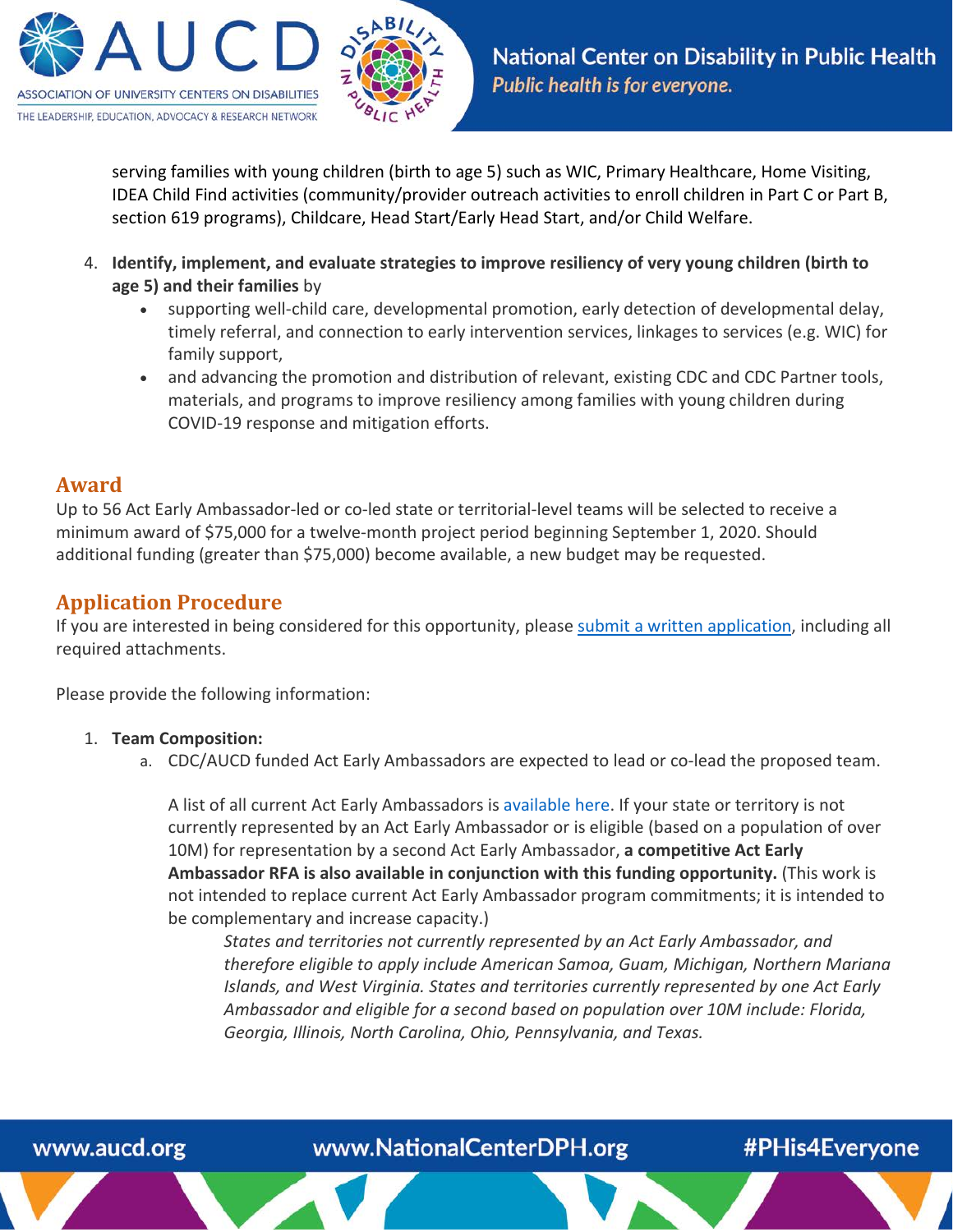

serving families with young children (birth to age 5) such as WIC, Primary Healthcare, Home Visiting, IDEA Child Find activities (community/provider outreach activities to enroll children in Part C or Part B, section 619 programs), Childcare, Head Start/Early Head Start, and/or Child Welfare.

- 4. **Identify, implement, and evaluate strategies to improve resiliency of very young children (birth to age 5) and their families** by
	- supporting well-child care, developmental promotion, early detection of developmental delay, timely referral, and connection to early intervention services, linkages to services (e.g. WIC) for family support,
	- and advancing the promotion and distribution of relevant, existing CDC and CDC Partner tools, materials, and programs to improve resiliency among families with young children during COVID-19 response and mitigation efforts.

### **Award**

Up to 56 Act Early Ambassador-led or co-led state or territorial-level teams will be selected to receive a minimum award of \$75,000 for a twelve-month project period beginning September 1, 2020. Should additional funding (greater than \$75,000) become available, a new budget may be requested.

# **Application Procedure**

If you are interested in being considered for this opportunity, please [submit a written application,](https://www.aucd.org/app/) including all required attachments.

Please provide the following information:

#### 1. **Team Composition:**

a. CDC/AUCD funded Act Early Ambassadors are expected to lead or co-lead the proposed team.

A list of all current Act Early Ambassadors i[s available here.](https://www.cdc.gov/ncbddd/actearly/ambassadors-list.html) If your state or territory is not currently represented by an Act Early Ambassador or is eligible (based on a population of over 10M) for representation by a second Act Early Ambassador, **a competitive Act Early Ambassador RFA is also available in conjunction with this funding opportunity.** (This work is not intended to replace current Act Early Ambassador program commitments; it is intended to be complementary and increase capacity.)

*States and territories not currently represented by an Act Early Ambassador, and therefore eligible to apply include American Samoa, Guam, Michigan, Northern Mariana Islands, and West Virginia. States and territories currently represented by one Act Early Ambassador and eligible for a second based on population over 10M include: Florida, Georgia, Illinois, North Carolina, Ohio, Pennsylvania, and Texas.*



www.NationalCenterDPH.org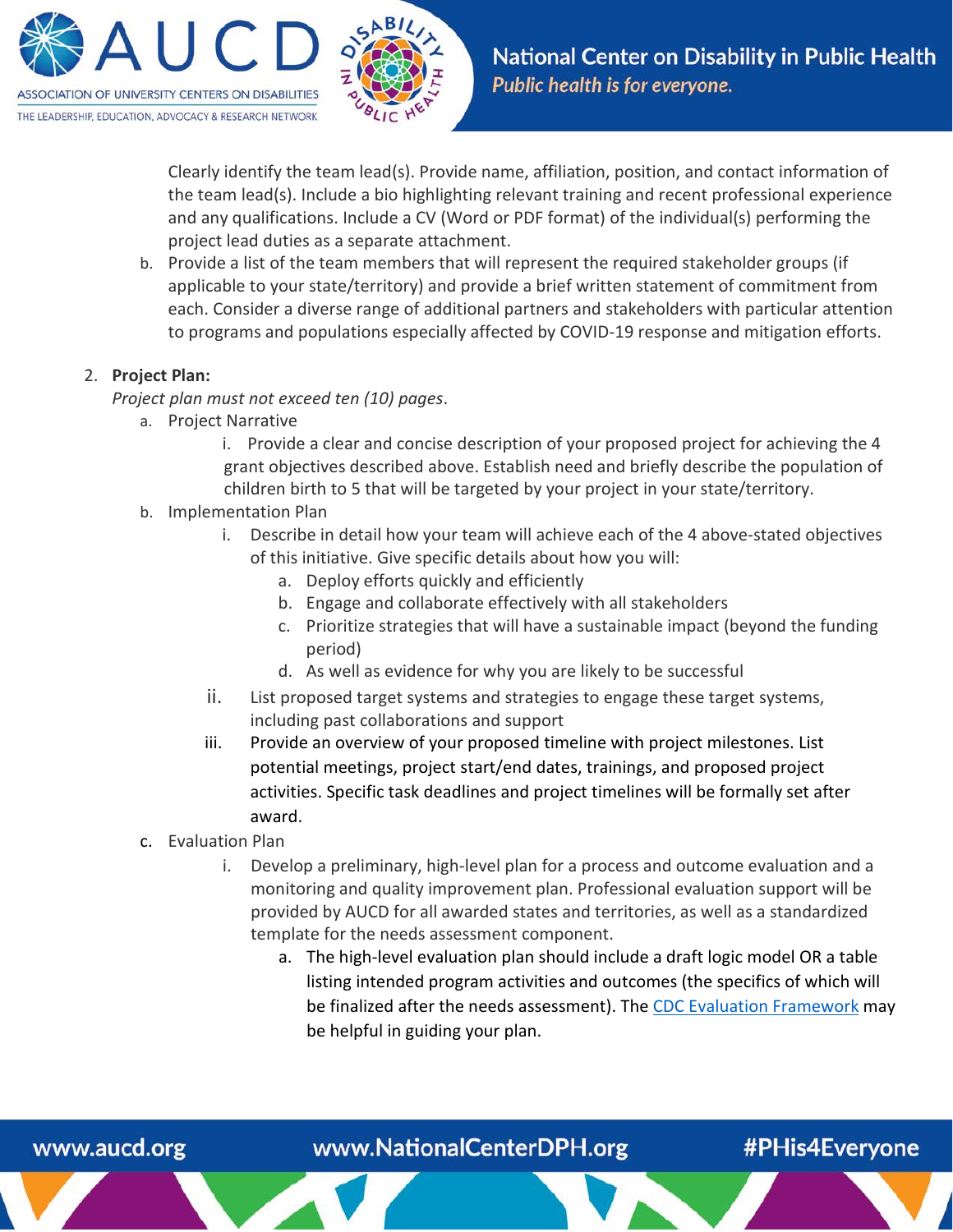

Clearly identify the team lead(s). Provide name, affiliation, position, and contact information of the team lead(s). Include a bio highlighting relevant training and recent professional experience and any qualifications. Include a CV (Word or PDF format) of the individual(s) performing the project lead duties as a separate attachment.

b. Provide a list of the team members that will represent the required stakeholder groups (if applicable to your state/territory) and provide a brief written statement of commitment from each. Consider a diverse range of additional partners and stakeholders with particular attention to programs and populations especially affected by COVID-19 response and mitigation efforts.

#### 2. **Project Plan:**

*Project plan must not exceed ten (10) pages*.

- a. Project Narrative
	- i. Provide a clear and concise description of your proposed project for achieving the 4 grant objectives described above. Establish need and briefly describe the population of children birth to 5 that will be targeted by your project in your state/territory.
- b. Implementation Plan
	- i. Describe in detail how your team will achieve each of the 4 above-stated objectives of this initiative. Give specific details about how you will:
		- a. Deploy efforts quickly and efficiently
		- b. Engage and collaborate effectively with all stakeholders
		- c. Prioritize strategies that will have a sustainable impact (beyond the funding period)
		- d. As well as evidence for why you are likely to be successful
	- ii. List proposed target systems and strategies to engage these target systems, including past collaborations and support
	- iii. Provide an overview of your proposed timeline with project milestones. List potential meetings, project start/end dates, trainings, and proposed project activities. Specific task deadlines and project timelines will be formally set after award.
- c. Evaluation Plan
	- i. Develop a preliminary, high-level plan for a process and outcome evaluation and a monitoring and quality improvement plan. Professional evaluation support will be provided by AUCD for all awarded states and territories, as well as a standardized template for the needs assessment component.
		- a. The high-level evaluation plan should include a draft logic model OR a table listing intended program activities and outcomes (the specifics of which will be finalized after the needs assessment). The [CDC Evaluation Framework](https://www.cdc.gov/eval/steps/step2/index.htm) may be helpful in guiding your plan.

### www.aucd.org

www.NationalCenterDPH.org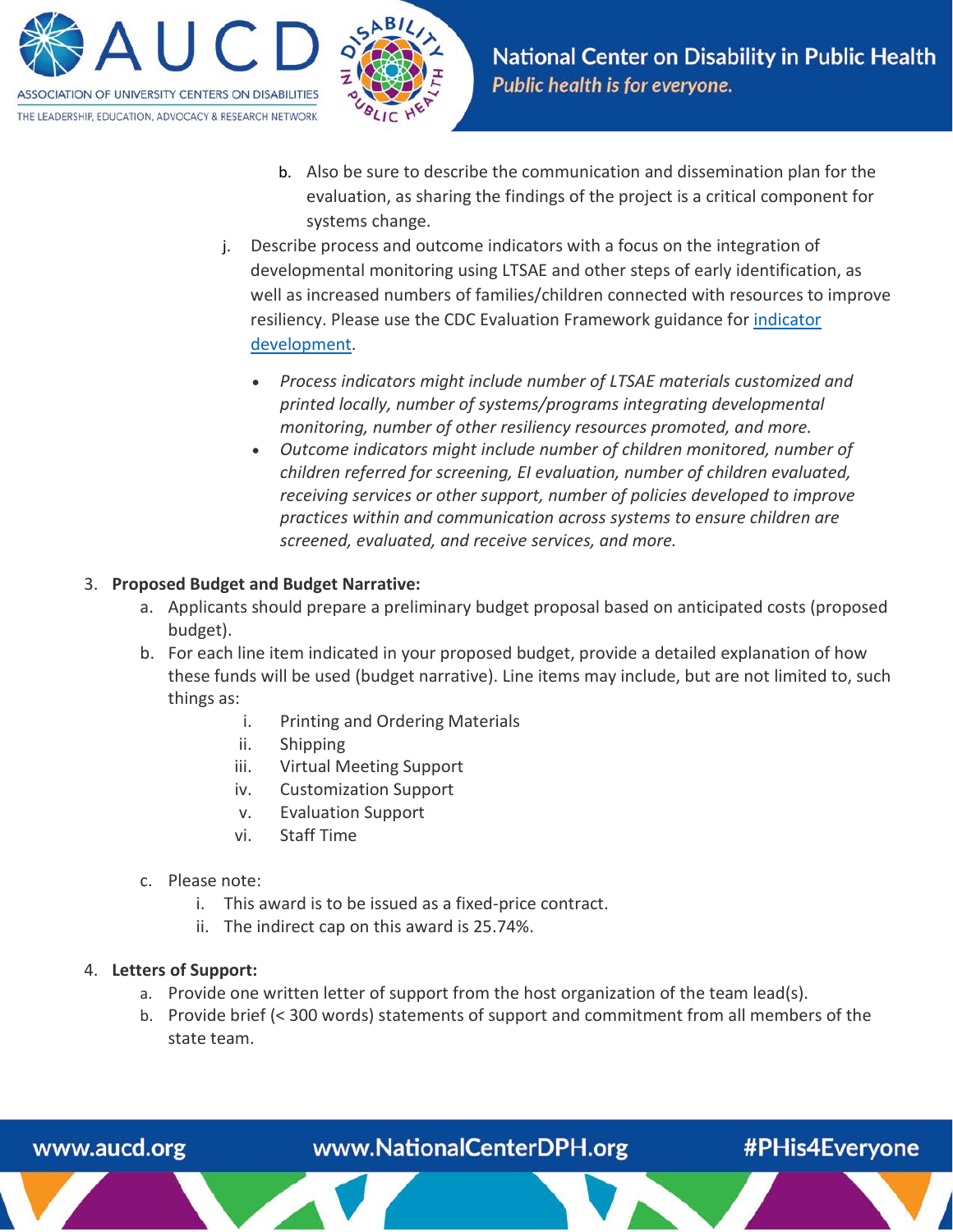



#PHis4Everyone

- b. Also be sure to describe the communication and dissemination plan for the evaluation, as sharing the findings of the project is a critical component for systems change.
- j. Describe process and outcome indicators with a focus on the integration of developmental monitoring using LTSAE and other steps of early identification, as well as increased numbers of families/children connected with resources to improve resiliency. Please use the CDC Evaluation Framework guidance for [indicator](https://www.cdc.gov/eval/indicators/index.htm)  [development.](https://www.cdc.gov/eval/indicators/index.htm)
	- *Process indicators might include number of LTSAE materials customized and printed locally, number of systems/programs integrating developmental monitoring, number of other resiliency resources promoted, and more.*
	- *Outcome indicators might include number of children monitored, number of children referred for screening, EI evaluation, number of children evaluated, receiving services or other support, number of policies developed to improve practices within and communication across systems to ensure children are screened, evaluated, and receive services, and more.*

#### 3. **Proposed Budget and Budget Narrative:**

- a. Applicants should prepare a preliminary budget proposal based on anticipated costs (proposed budget).
- b. For each line item indicated in your proposed budget, provide a detailed explanation of how these funds will be used (budget narrative). Line items may include, but are not limited to, such things as:
	- i. Printing and Ordering Materials
	- ii. Shipping
	- iii. Virtual Meeting Support
	- iv. Customization Support
	- v. Evaluation Support
	- vi. Staff Time
- c. Please note:
	- i. This award is to be issued as a fixed-price contract.
	- ii. The indirect cap on this award is 25.74%.

#### 4. **Letters of Support:**

www.aucd.org

a. Provide one written letter of support from the host organization of the team lead(s).

www.NationalCenterDPH.org

b. Provide brief (< 300 words) statements of support and commitment from all members of the state team.